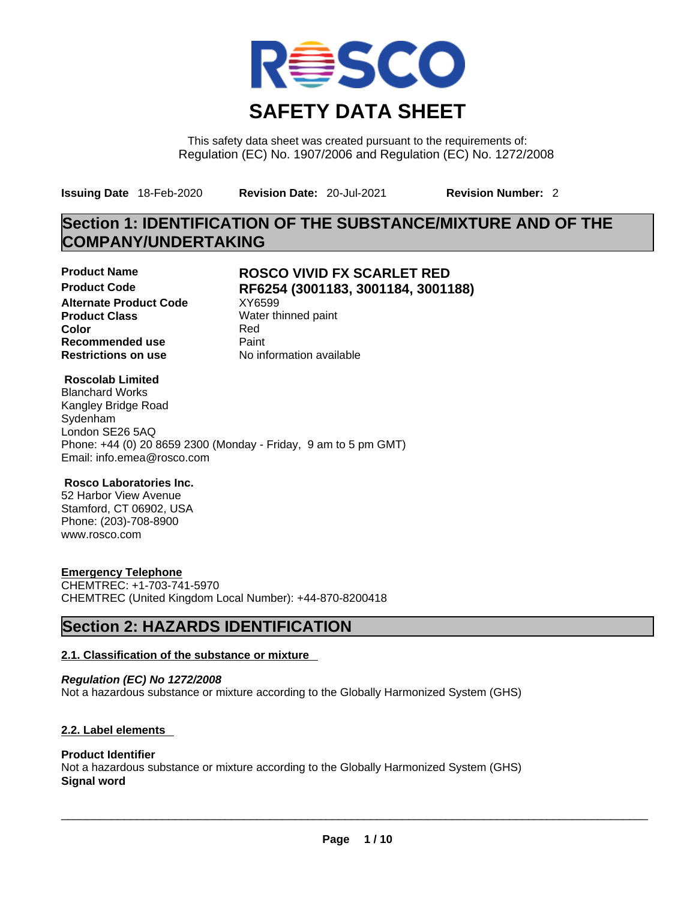

This safety data sheet was created pursuant to the requirements of: Regulation (EC) No. 1907/2006 and Regulation (EC) No. 1272/2008

**Issuing Date** 18-Feb-2020 **Revision Date:** 20-Jul-2021 **Revision Number:** 2

## **Section 1: IDENTIFICATION OF THE SUBSTANCE/MIXTURE AND OF THE COMPANY/UNDERTAKING**

**Alternate Product Code XY6599 Product Class Water thinned paint**<br> **Color** Red **Color** Red **Recommended use** Paint

## **Product Name ROSCO VIVID FX SCARLET RED Product Code RF6254 (3001183, 3001184, 3001188)**

**Restrictions on use** No information available

#### **Roscolab Limited**

Blanchard Works Kangley Bridge Road Sydenham London SE26 5AQ Phone: +44 (0) 20 8659 2300 (Monday - Friday, 9 am to 5 pm GMT) Email: info.emea@rosco.com

#### **Rosco Laboratories Inc.**

52 Harbor View Avenue Stamford, CT 06902, USA Phone: (203)-708-8900 www.rosco.com

#### **Emergency Telephone**

CHEMTREC: +1-703-741-5970 CHEMTREC (United Kingdom Local Number): +44-870-8200418

## **Section 2: HAZARDS IDENTIFICATION**

#### **2.1. Classification of the substance or mixture**

*Regulation (EC) No 1272/2008* Not a hazardous substance or mixture according to the Globally Harmonized System (GHS)

#### **2.2. Label elements**

#### **Product Identifier** Not a hazardous substance or mixture according to the Globally Harmonized System (GHS) **Signal word**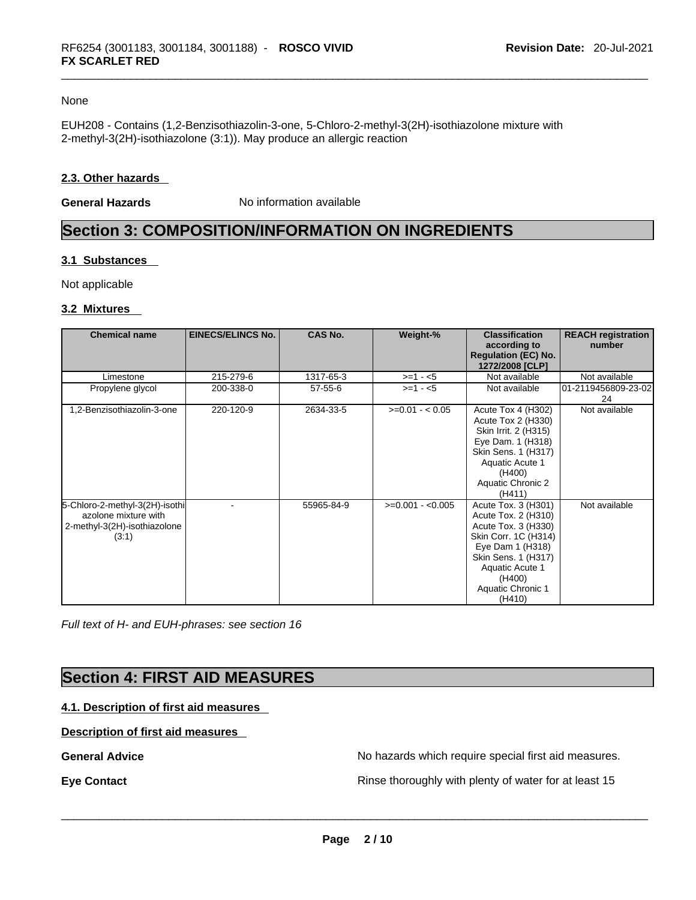#### None

EUH208 - Contains (1,2-Benzisothiazolin-3-one, 5-Chloro-2-methyl-3(2H)-isothiazolone mixture with 2-methyl-3(2H)-isothiazolone (3:1)). May produce an allergic reaction

#### **2.3. Other hazards**

**General Hazards No information available** 

## **Section 3: COMPOSITION/INFORMATION ON INGREDIENTS**

#### **3.1 Substances**

Not applicable

#### **3.2 Mixtures**

| <b>Chemical name</b>                                                                            | <b>EINECS/ELINCS No.</b> | <b>CAS No.</b> | Weight-%          | <b>Classification</b><br>according to<br><b>Regulation (EC) No.</b><br>1272/2008 [CLP]                                                                                                           | <b>REACH registration</b><br>number |
|-------------------------------------------------------------------------------------------------|--------------------------|----------------|-------------------|--------------------------------------------------------------------------------------------------------------------------------------------------------------------------------------------------|-------------------------------------|
| Limestone                                                                                       | 215-279-6                | 1317-65-3      | $>=1 - 5$         | Not available                                                                                                                                                                                    | Not available                       |
| Propylene glycol                                                                                | 200-338-0                | $57 - 55 - 6$  | $>=1 - 5$         | Not available                                                                                                                                                                                    | 01-2119456809-23-02<br>24           |
| 1,2-Benzisothiazolin-3-one                                                                      | 220-120-9                | 2634-33-5      | $>=0.01 - 0.05$   | Acute Tox 4 (H302)<br>Acute Tox 2 (H330)<br>Skin Irrit. 2 (H315)<br>Eye Dam. 1 (H318)<br>Skin Sens. 1 (H317)<br>Aquatic Acute 1<br>(H400)<br>Aquatic Chronic 2<br>(H411)                         | Not available                       |
| 5-Chloro-2-methyl-3(2H)-isothi<br>azolone mixture with<br>2-methyl-3(2H)-isothiazolone<br>(3:1) |                          | 55965-84-9     | $>=0.001 - 0.005$ | Acute Tox. 3 (H301)<br>Acute Tox. 2 (H310)<br>Acute Tox. 3 (H330)<br>Skin Corr. 1C (H314)<br>Eye Dam 1 (H318)<br>Skin Sens. 1 (H317)<br>Aquatic Acute 1<br>(H400)<br>Aquatic Chronic 1<br>(H410) | Not available                       |

*Full text of H- and EUH-phrases: see section 16* 

## **Section 4: FIRST AID MEASURES**

#### **4.1. Description of first aid measures**

#### **Description of first aid measures**

General Advice **General Advice No hazards** which require special first aid measures.

**Eye Contact Exercise 20 All 20 All 20 All 20 All 20 All 20 All 20 All 20 All 20 All 20 All 20 All 20 All 20 All 20 All 20 All 20 All 20 All 20 All 20 All 20 All 20 All 20 All 20 All 20 All 20 All 20 All 20 All 20 All 20**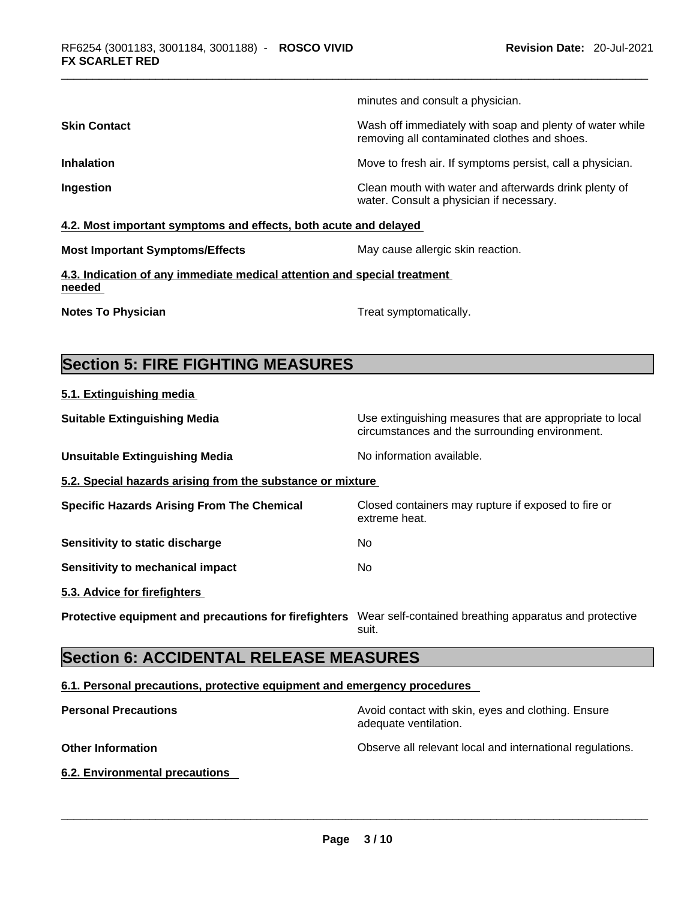minutes and consult a physician. **Skin Contact Number 2012 Wash off immediately with soap and plenty of water while** removing all contaminated clothes and shoes. **Inhalation Inhalation Inhalation Move to fresh air.** If symptoms persist, call a physician. **Ingestion Ingestion Clean mouth with water and afterwards drink plenty of** water. Consult a physician if necessary. **4.2. Most important symptoms and effects, both acute and delayed**

**Most Important Symptoms/Effects** May cause allergic skin reaction.

**4.3. Indication of any immediate medical attention and special treatment needed** 

**Notes To Physician** Motes To Physician Treat symptomatically.

## **Section 5: FIRE FIGHTING MEASURES**

**5.1. Extinguishing media**

**Suitable Extinguishing Media** Media Use extinguishing measures that are appropriate to local circumstances and the surrounding environment. **Unsuitable Extinguishing Media** Noinformation available. **5.2. Special hazards arising from the substance or mixture Specific Hazards Arising From The Chemical Closed containers may rupture if exposed to fire or** extreme heat. **Sensitivity to static discharge** Mo **Sensitivity to mechanical impact** No **5.3. Advice for firefighters Protective equipment and precautions for firefighters** Wear self-contained breathing apparatus and protective suit.

## **Section 6: ACCIDENTAL RELEASE MEASURES**

#### **6.1. Personal precautions, protective equipment and emergency procedures**

| <b>Personal Precautions</b>    | Avoid contact with skin, eyes and clothing. Ensure<br>adequate ventilation. |
|--------------------------------|-----------------------------------------------------------------------------|
| <b>Other Information</b>       | Observe all relevant local and international regulations.                   |
| 6.2. Environmental precautions |                                                                             |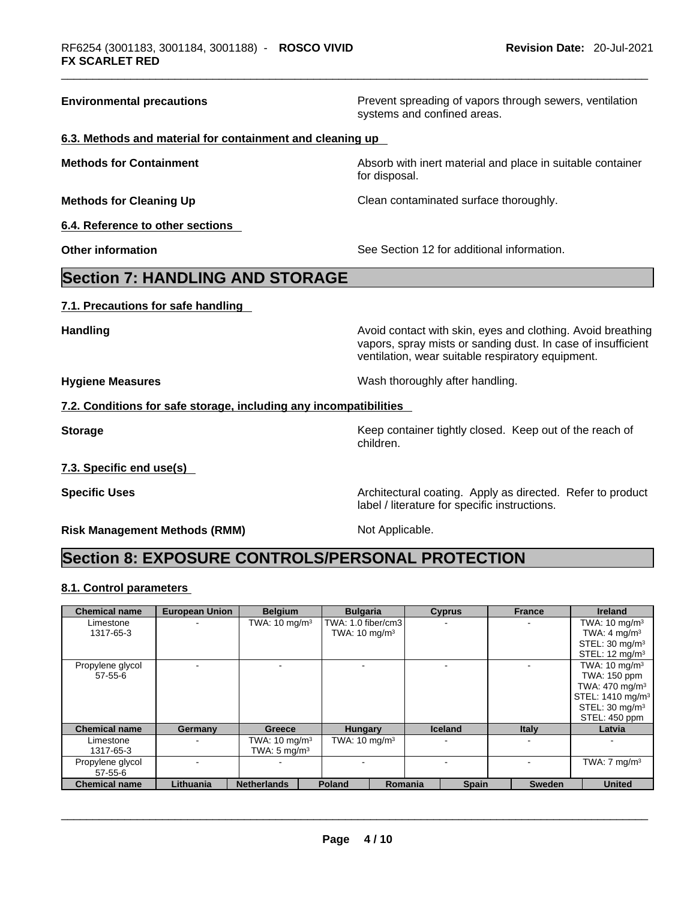**Environmental precautions Environmental precautions Prevent spreading of vapors through sewers, ventilation** systems and confined areas. **6.3. Methods and material for containment and cleaning up Methods for Containment Methods for Containment Absorb** with inert material and place in suitable container for disposal. **Methods for Cleaning Up Clean contaminated surface thoroughly. 6.4. Reference to other sections Other information** See Section 12 for additional information. **Section 7: HANDLING AND STORAGE 7.1. Precautions for safe handling Handling Handling Avoid contact with skin, eyes and clothing. Avoid breathing Handling A** vapors, spray mists or sanding dust. In case of insufficient ventilation, wear suitable respiratory equipment. **Hygiene Measures**  Wash thoroughly after handling. **7.2. Conditions for safe storage, including any incompatibilities Storage Storage Keep container tightly closed. Keep out of the reach of <b>Storage Keep** out of the reach of children. **7.3. Specific end use(s) Specific Uses <b>Specific Uses Architectural coating.** Apply as directed. Refer to product

**Risk Management Methods (RMM)** Not Applicable.

label / literature for specific instructions.

## **Section 8: EXPOSURE CONTROLS/PERSONAL PROTECTION**

#### **8.1. Control parameters**

| <b>Chemical name</b> | <b>European Union</b> | <b>Belgium</b>           | <b>Bulgaria</b>          |         | <b>Cyprus</b>  | <b>France</b> | <b>Ireland</b>               |
|----------------------|-----------------------|--------------------------|--------------------------|---------|----------------|---------------|------------------------------|
| Limestone            |                       | TWA: $10 \text{ mg/m}^3$ | TWA: 1.0 fiber/cm3       |         |                |               | TWA: $10 \text{ mg/m}^3$     |
| 1317-65-3            |                       |                          | TWA: $10 \text{ mg/m}^3$ |         |                |               | TWA: $4 \text{ mg/m}^3$      |
|                      |                       |                          |                          |         |                |               | STEL: $30 \text{ mg/m}^3$    |
|                      |                       |                          |                          |         |                |               | STEL: $12 \text{ mq/m}^3$    |
| Propylene glycol     |                       |                          |                          |         |                |               | TWA: $10 \text{ mg/m}^3$     |
| $57 - 55 - 6$        |                       |                          |                          |         |                |               | TWA: 150 ppm                 |
|                      |                       |                          |                          |         |                |               | TWA: $470 \text{ mg/m}^3$    |
|                      |                       |                          |                          |         |                |               | STEL: 1410 mg/m <sup>3</sup> |
|                      |                       |                          |                          |         |                |               | STEL: $30 \text{ mg/m}^3$    |
|                      |                       |                          |                          |         |                |               | STEL: 450 ppm                |
| <b>Chemical name</b> | Germany               | <b>Greece</b>            | <b>Hungary</b>           |         | <b>Iceland</b> | <b>Italy</b>  | Latvia                       |
| Limestone            |                       | TWA: $10 \text{ mg/m}^3$ | TWA: $10 \text{ mg/m}^3$ |         |                |               |                              |
| 1317-65-3            |                       | TWA: $5 \text{ mg/m}^3$  |                          |         |                |               |                              |
| Propylene glycol     |                       |                          |                          |         |                |               | TWA: $7 \text{ mg/m}^3$      |
| $57 - 55 - 6$        |                       |                          |                          |         |                |               |                              |
| <b>Chemical name</b> | Lithuania             | <b>Netherlands</b>       | <b>Poland</b>            | Romania | <b>Spain</b>   | <b>Sweden</b> | <b>United</b>                |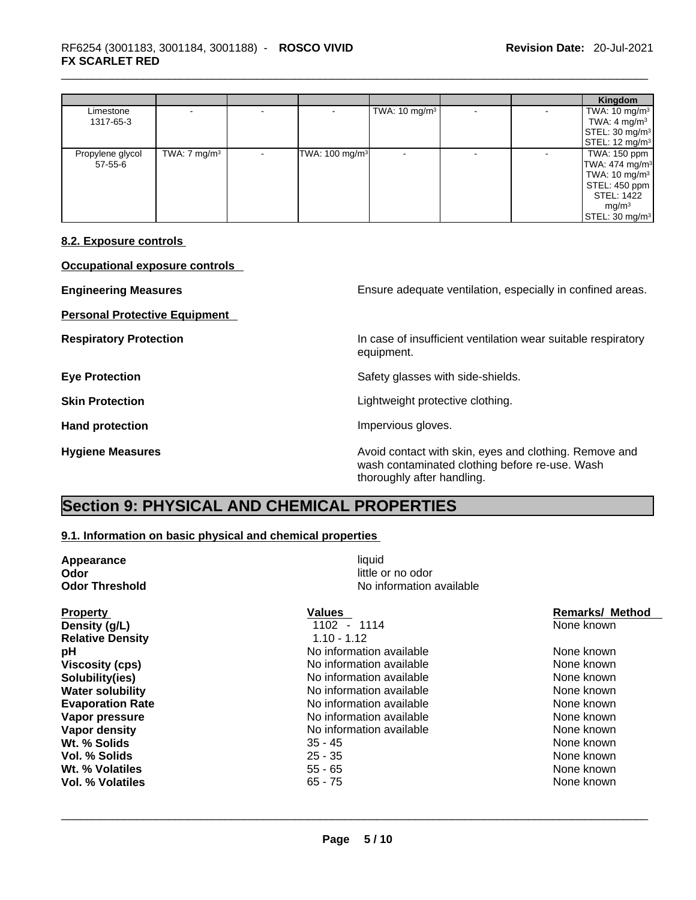|                  |                         |                            |                          |  | Kingdom                      |
|------------------|-------------------------|----------------------------|--------------------------|--|------------------------------|
| Limestone        |                         |                            | TWA: $10 \text{ mg/m}^3$ |  | TWA: $10 \text{ mg/m}^3$     |
| 1317-65-3        |                         |                            |                          |  | TWA: $4 \text{ mg/m}^3$      |
|                  |                         |                            |                          |  | STEL: 30 mg/m <sup>3</sup>   |
|                  |                         |                            |                          |  | STEL: 12 mg/m <sup>3</sup>   |
| Propylene glycol | TWA: $7 \text{ mg/m}^3$ | TWA: 100 mg/m <sup>3</sup> |                          |  | TWA: 150 ppm                 |
| 57-55-6          |                         |                            |                          |  | TWA: $474$ mg/m <sup>3</sup> |
|                  |                         |                            |                          |  | TWA: 10 mg/m $3$             |
|                  |                         |                            |                          |  | STEL: 450 ppm l              |
|                  |                         |                            |                          |  | STEL: 1422                   |
|                  |                         |                            |                          |  | mg/m <sup>3</sup>            |
|                  |                         |                            |                          |  | STEL: 30 mg/m <sup>3</sup>   |

#### **8.2. Exposure controls**

**Occupational exposure controls** 

| <b>Engineering Measures</b>          | Ensure adequate ventilation, especially in confined areas.                                                                             |
|--------------------------------------|----------------------------------------------------------------------------------------------------------------------------------------|
| <b>Personal Protective Equipment</b> |                                                                                                                                        |
| <b>Respiratory Protection</b>        | In case of insufficient ventilation wear suitable respiratory<br>equipment.                                                            |
| <b>Eye Protection</b>                | Safety glasses with side-shields.                                                                                                      |
| <b>Skin Protection</b>               | Lightweight protective clothing.                                                                                                       |
| <b>Hand protection</b>               | Impervious gloves.                                                                                                                     |
| <b>Hygiene Measures</b>              | Avoid contact with skin, eyes and clothing. Remove and<br>wash contaminated clothing before re-use. Wash<br>thoroughly after handling. |

# **Section 9: PHYSICAL AND CHEMICAL PROPERTIES**

#### **9.1. Information on basic physical and chemical properties**

| Appearance              | liquid                   |                        |
|-------------------------|--------------------------|------------------------|
| Odor                    | little or no odor        |                        |
| <b>Odor Threshold</b>   | No information available |                        |
| <b>Property</b>         | <b>Values</b>            | <b>Remarks/ Method</b> |
| Density (g/L)           | 1102 - 1114              | None known             |
| <b>Relative Density</b> | $1.10 - 1.12$            |                        |
| рH                      | No information available | None known             |
| <b>Viscosity (cps)</b>  | No information available | None known             |
| Solubility(ies)         | No information available | None known             |
| <b>Water solubility</b> | No information available | None known             |
| <b>Evaporation Rate</b> | No information available | None known             |
| Vapor pressure          | No information available | None known             |
| Vapor density           | No information available | None known             |
| Wt. % Solids            | $35 - 45$                | None known             |
| Vol. % Solids           | $25 - 35$                | None known             |
| Wt. % Volatiles         | $55 - 65$                | None known             |
| Vol. % Volatiles        | $65 - 75$                | None known             |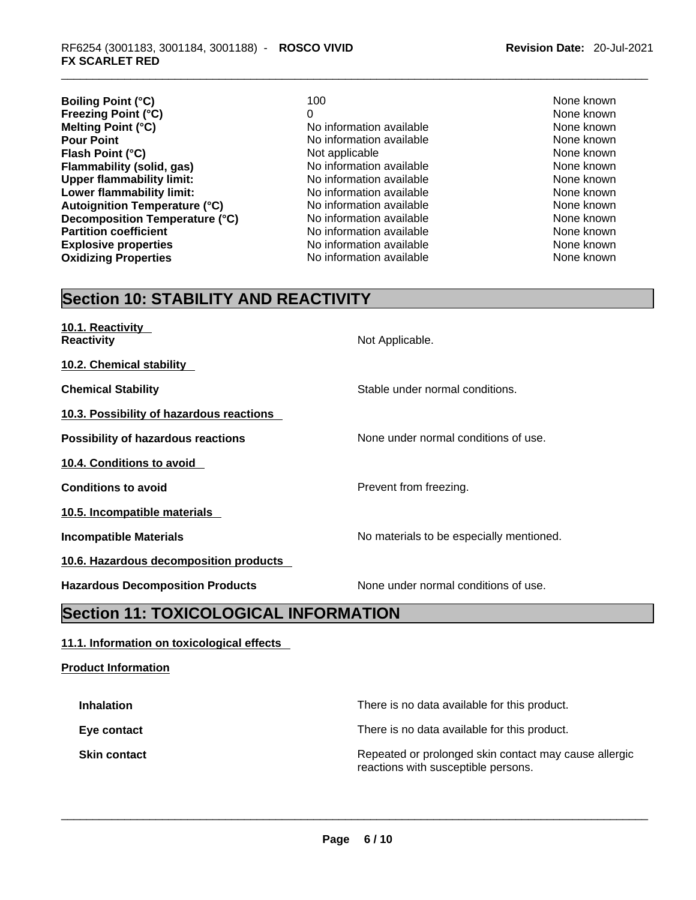- **Boiling Point (°C)** 100 100 None known **Freezing Point (°C)**<br> **Melting Point (°C)**<br> **Melting Point (°C)**<br> **Melting Point (°C)**<br> **Melting Point (°C)**<br> **Melting Point (°C) Melting Point (°C) None known** No information available **None known**<br> **Pour Point** None known No information available **None known Flash Point (°C) Not applicable None known None known Flammability (solid, gas)** Noinformation available None known None known **Upper flammability limit:** No information available None known None known **Lower flammability limit:** No information available and the common None known<br>
No information available None Known None known None known **Autoignition Temperature (°C) Decomposition Temperature (°C)** No information available None known **Partition coefficient**<br> **Explosive properties**<br>
No information available<br>
None known<br>
None known **Explosive properties**<br> **Oxidizing Properties**<br> **Oxidizing Properties**<br> **No** information available
	- **Pour Point Point Available None known**<br> **Pour Point Available None known**<br>
	None known **No information available None known**
- 

## **Section 10: STABILITY AND REACTIVITY**

| 10.1. Reactivity<br><b>Reactivity</b>     | Not Applicable.                          |
|-------------------------------------------|------------------------------------------|
| 10.2. Chemical stability                  |                                          |
| <b>Chemical Stability</b>                 | Stable under normal conditions.          |
| 10.3. Possibility of hazardous reactions  |                                          |
| <b>Possibility of hazardous reactions</b> | None under normal conditions of use.     |
| 10.4. Conditions to avoid                 |                                          |
| <b>Conditions to avoid</b>                | Prevent from freezing.                   |
| 10.5. Incompatible materials              |                                          |
| <b>Incompatible Materials</b>             | No materials to be especially mentioned. |
| 10.6. Hazardous decomposition products    |                                          |
| <b>Hazardous Decomposition Products</b>   | None under normal conditions of use.     |
|                                           |                                          |

## **Section 11: TOXICOLOGICAL INFORMATION**

#### **11.1. Information on toxicological effects**

#### **Product Information**

| <b>Inhalation</b>   | There is no data available for this product.                                                 |
|---------------------|----------------------------------------------------------------------------------------------|
| Eye contact         | There is no data available for this product.                                                 |
| <b>Skin contact</b> | Repeated or prolonged skin contact may cause allergic<br>reactions with susceptible persons. |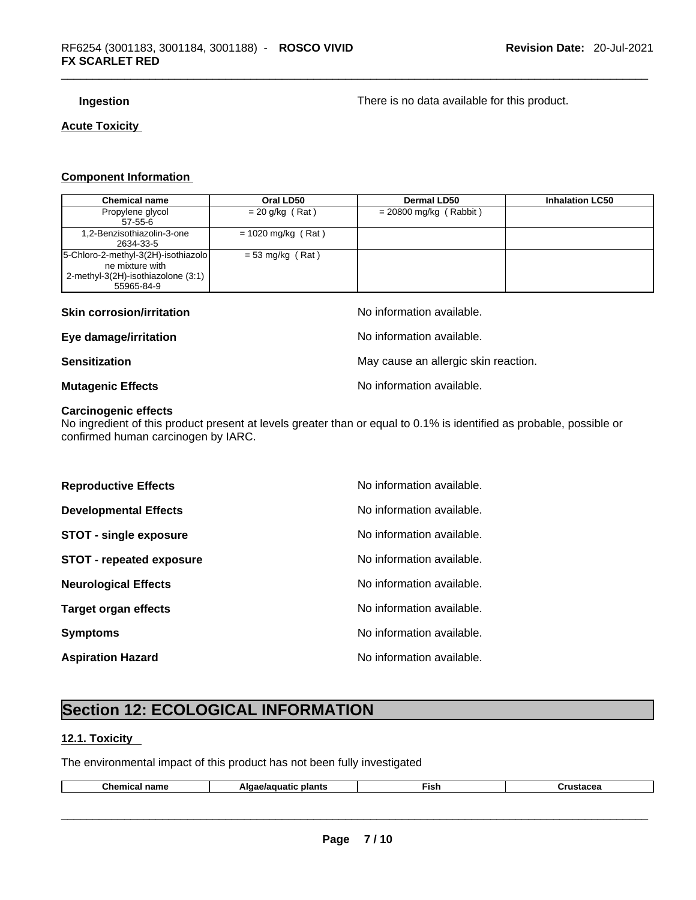**Ingestion Ingestion Ingestion Installer is no data available for this product.** 

### **Acute Toxicity**

#### **Component Information**

| <b>Chemical name</b>                | Oral LD50            | Dermal LD50              | <b>Inhalation LC50</b> |
|-------------------------------------|----------------------|--------------------------|------------------------|
| Propylene glycol                    | $= 20$ g/kg (Rat)    | $= 20800$ mg/kg (Rabbit) |                        |
| $57-55-6$                           |                      |                          |                        |
| 1,2-Benzisothiazolin-3-one          | $= 1020$ mg/kg (Rat) |                          |                        |
| 2634-33-5                           |                      |                          |                        |
| 5-Chloro-2-methyl-3(2H)-isothiazolo | $=$ 53 mg/kg (Rat)   |                          |                        |
| ne mixture with                     |                      |                          |                        |
| 2-methyl-3(2H)-isothiazolone (3:1)  |                      |                          |                        |
| 55965-84-9                          |                      |                          |                        |

| <b>Skin corrosion/irritation</b> | No information available.            |
|----------------------------------|--------------------------------------|
| Eye damage/irritation            | No information available.            |
| <b>Sensitization</b>             | May cause an allergic skin reaction. |
| <b>Mutagenic Effects</b>         | No information available.            |

## **Carcinogenic effects**

No ingredient of this product present at levels greater than or equal to 0.1% is identified as probable, possible or confirmed human carcinogen by IARC.

| <b>Reproductive Effects</b>     | No information available. |
|---------------------------------|---------------------------|
| <b>Developmental Effects</b>    | No information available. |
| <b>STOT - single exposure</b>   | No information available. |
| <b>STOT - repeated exposure</b> | No information available. |
| <b>Neurological Effects</b>     | No information available. |
| Target organ effects            | No information available. |
| <b>Symptoms</b>                 | No information available. |
| <b>Aspiration Hazard</b>        | No information available. |

# **Section 12: ECOLOGICAL INFORMATION**

### **12.1. Toxicity**

The environmental impact of this product has not been fully investigated

| ™∩∩<br>name<br>шьаг | ັ plant⊾ | -ish | ,,,,,,,,<br>slacea |
|---------------------|----------|------|--------------------|
|                     |          |      |                    |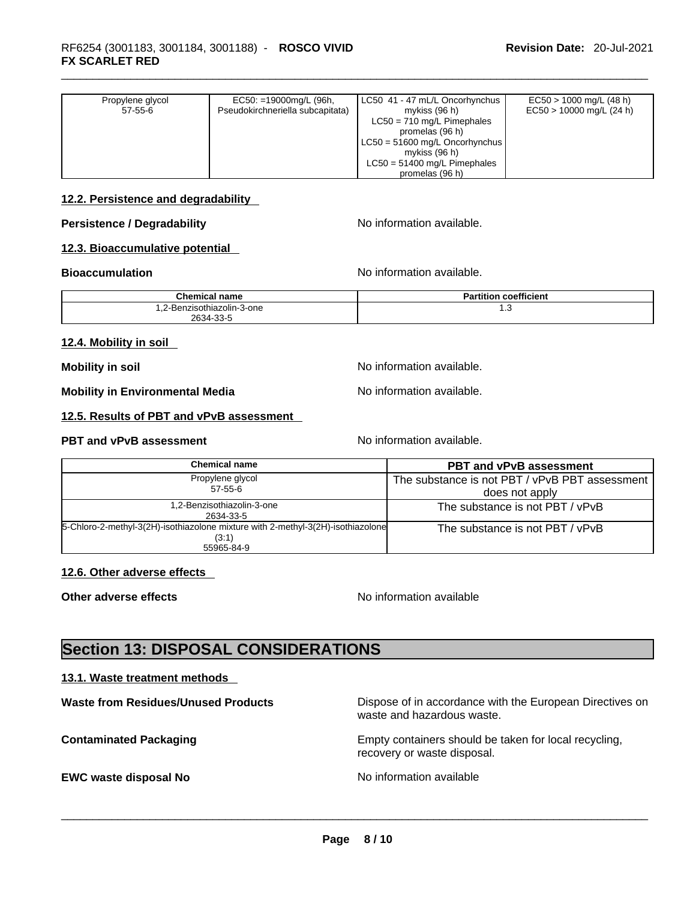| Propylene glycol | $EC50: =19000mg/L (96h,$         | LC50 41 - 47 mL/L Oncorhynchus   | $EC50 > 1000$ mg/L (48 h)  |
|------------------|----------------------------------|----------------------------------|----------------------------|
| 57-55-6          | Pseudokirchneriella subcapitata) | mykiss (96 h)                    | $EC50 > 10000$ mg/L (24 h) |
|                  |                                  | $LC50 = 710$ mg/L Pimephales     |                            |
|                  |                                  | promelas (96 h)                  |                            |
|                  |                                  | $LC50 = 51600$ mg/L Oncorhynchus |                            |
|                  |                                  | mykiss (96 h)                    |                            |
|                  |                                  | $LC50 = 51400$ mg/L Pimephales   |                            |
|                  |                                  | promelas (96 h)                  |                            |

#### **12.2. Persistence and degradability**

#### **Persistence / Degradability** No information available.

#### **12.3. Bioaccumulative potential**

#### **Bioaccumulation Bioaccumulation No information available.**

**Chemical name Partition coefficient Partition coefficient** 1,2-Benzisothiazolin-3-one 2634-33-5 1.3

#### **12.4. Mobility in soil**

**Mobility** in soil **Mobility** in soil

**Mobility in Environmental Media** Noinformation available.

#### **12.5. Results of PBT and vPvB assessment**

#### **PBT** and **vPvB** assessment No information available.

| <b>Chemical name</b>                                                                     | <b>PBT and vPvB assessment</b>                 |  |
|------------------------------------------------------------------------------------------|------------------------------------------------|--|
| Propylene glycol                                                                         | The substance is not PBT / vPvB PBT assessment |  |
| 57-55-6                                                                                  | does not apply                                 |  |
| 1,2-Benzisothiazolin-3-one<br>2634-33-5                                                  | The substance is not PBT / vPvB                |  |
| 5-Chloro-2-methyl-3(2H)-isothiazolone mixture with 2-methyl-3(2H)-isothiazolone<br>(3:1) | The substance is not PBT / vPvB                |  |
| 55965-84-9                                                                               |                                                |  |

#### **12.6. Other adverse effects**

**Other adverse effects No information available No information available** 

## **Section 13: DISPOSAL CONSIDERATIONS**

#### **13.1. Waste treatment methods**

| <b>Waste from Residues/Unused Products</b> | Dispose of in accordance with the European Directives on<br>waste and hazardous waste. |
|--------------------------------------------|----------------------------------------------------------------------------------------|
| <b>Contaminated Packaging</b>              | Empty containers should be taken for local recycling,<br>recovery or waste disposal.   |
| <b>EWC waste disposal No</b>               | No information available                                                               |
|                                            |                                                                                        |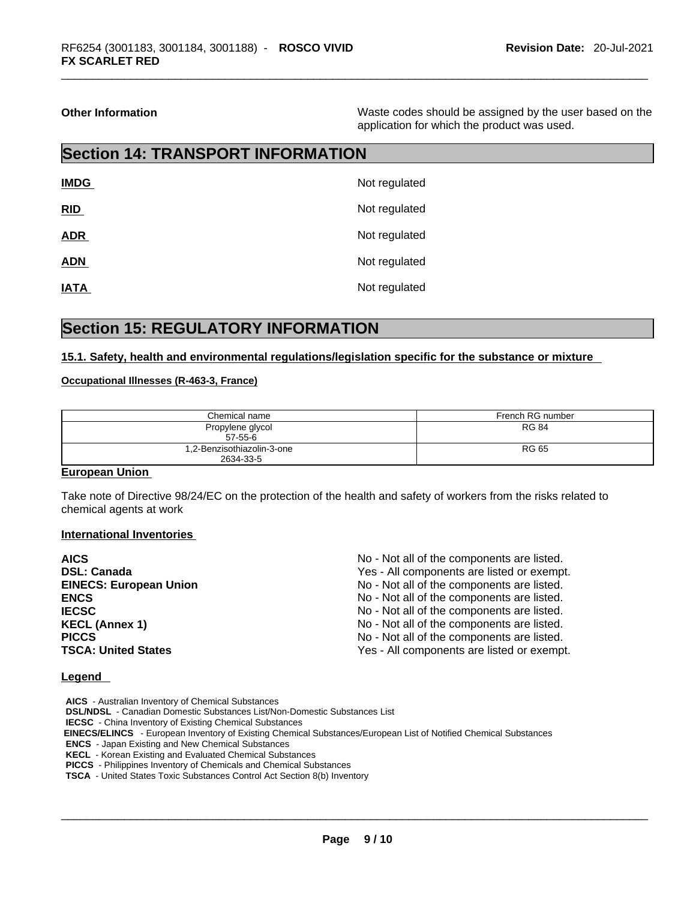**Other Information** Waste codes should be assigned by the user based on the application for which the product was used.

# **Section 14: TRANSPORT INFORMATION**

| <b>IMDG</b> | Not regulated |
|-------------|---------------|
| RID         | Not regulated |
| <b>ADR</b>  | Not regulated |
| <b>ADN</b>  | Not regulated |
| <b>IATA</b> | Not regulated |

## **Section 15: REGULATORY INFORMATION**

#### **15.1. Safety, health and environmental regulations/legislation specific for the substance or mixture**

#### **Occupational Illnesses (R-463-3, France)**

| Chemical name                           | French RG number |  |  |
|-----------------------------------------|------------------|--|--|
| Propylene glycol<br>$57-55-6$           | <b>RG 84</b>     |  |  |
| 1,2-Benzisothiazolin-3-one<br>2634-33-5 | <b>RG 65</b>     |  |  |

#### **European Union**

Take note of Directive 98/24/EC on the protection of the health and safety of workers from the risks related to chemical agents at work

#### **International Inventories**

| <b>AICS</b>                   | No - Not all of the components are listed. |
|-------------------------------|--------------------------------------------|
| <b>DSL: Canada</b>            | Yes - All components are listed or exempt. |
| <b>EINECS: European Union</b> | No - Not all of the components are listed. |
| <b>ENCS</b>                   | No - Not all of the components are listed. |
| <b>IECSC</b>                  | No - Not all of the components are listed. |
| <b>KECL (Annex 1)</b>         | No - Not all of the components are listed. |
| <b>PICCS</b>                  | No - Not all of the components are listed. |
| <b>TSCA: United States</b>    | Yes - All components are listed or exempt. |

#### **Legend**

**AICS** - Australian Inventory of Chemical Substances **DSL/NDSL** - Canadian Domestic Substances List/Non-Domestic Substances List **IECSC** - China Inventory of Existing Chemical Substances

 **EINECS/ELINCS** - European Inventory of Existing Chemical Substances/European List of Notified Chemical Substances

**ENCS** - Japan Existing and New Chemical Substances

**KECL** - Korean Existing and Evaluated Chemical Substances

**PICCS** - Philippines Inventory of Chemicals and Chemical Substances

**TSCA** - United States Toxic Substances Control Act Section 8(b) Inventory